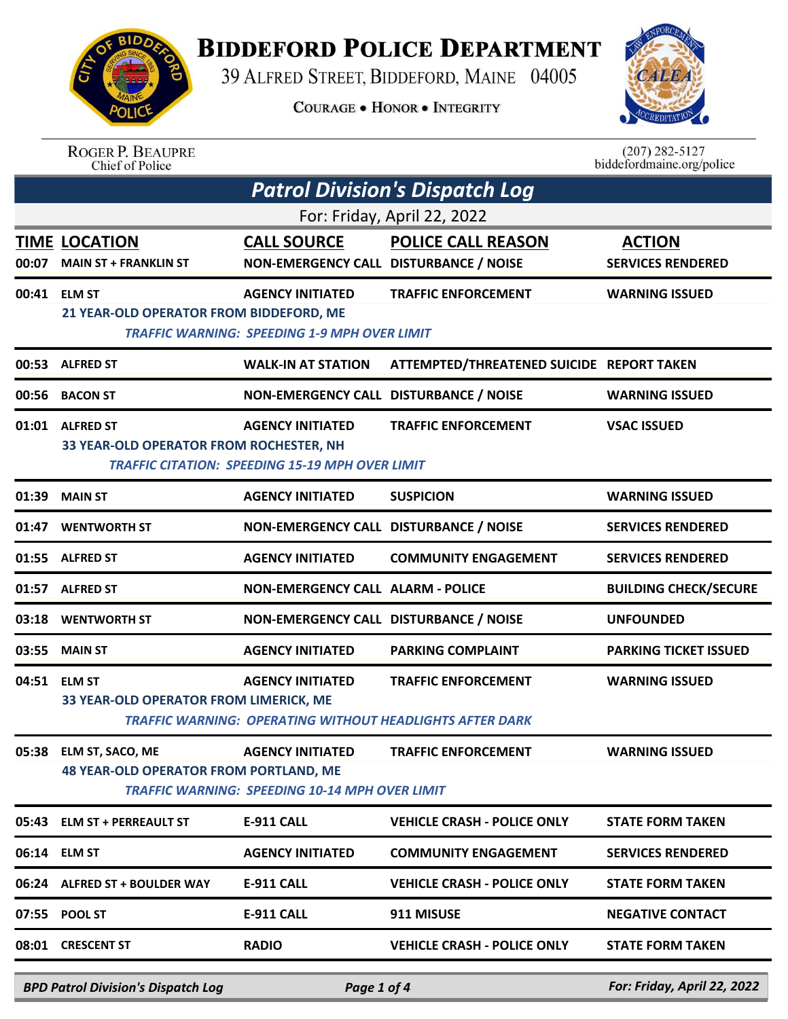

## **BIDDEFORD POLICE DEPARTMENT**

39 ALFRED STREET, BIDDEFORD, MAINE 04005

**COURAGE . HONOR . INTEGRITY** 



ROGER P. BEAUPRE<br>Chief of Police

 $(207)$  282-5127 biddefordmaine.org/police

|       |                                                                         |                                                                                   | <b>Patrol Division's Dispatch Log</b>                                                         |                                           |
|-------|-------------------------------------------------------------------------|-----------------------------------------------------------------------------------|-----------------------------------------------------------------------------------------------|-------------------------------------------|
|       |                                                                         |                                                                                   | For: Friday, April 22, 2022                                                                   |                                           |
| 00:07 | <b>TIME LOCATION</b><br><b>MAIN ST + FRANKLIN ST</b>                    | <b>CALL SOURCE</b><br>NON-EMERGENCY CALL DISTURBANCE / NOISE                      | <b>POLICE CALL REASON</b>                                                                     | <b>ACTION</b><br><b>SERVICES RENDERED</b> |
|       | 00:41 ELM ST<br>21 YEAR-OLD OPERATOR FROM BIDDEFORD, ME                 | <b>AGENCY INITIATED</b><br><b>TRAFFIC WARNING: SPEEDING 1-9 MPH OVER LIMIT</b>    | <b>TRAFFIC ENFORCEMENT</b>                                                                    | <b>WARNING ISSUED</b>                     |
| 00:53 | <b>ALFRED ST</b>                                                        | <b>WALK-IN AT STATION</b>                                                         | ATTEMPTED/THREATENED SUICIDE REPORT TAKEN                                                     |                                           |
| 00:56 | <b>BACON ST</b>                                                         | NON-EMERGENCY CALL DISTURBANCE / NOISE                                            |                                                                                               | <b>WARNING ISSUED</b>                     |
|       | 01:01 ALFRED ST<br>33 YEAR-OLD OPERATOR FROM ROCHESTER, NH              | <b>AGENCY INITIATED</b><br><b>TRAFFIC CITATION: SPEEDING 15-19 MPH OVER LIMIT</b> | <b>TRAFFIC ENFORCEMENT</b>                                                                    | <b>VSAC ISSUED</b>                        |
| 01:39 | <b>MAIN ST</b>                                                          | <b>AGENCY INITIATED</b>                                                           | <b>SUSPICION</b>                                                                              | <b>WARNING ISSUED</b>                     |
| 01:47 | <b>WENTWORTH ST</b>                                                     | NON-EMERGENCY CALL DISTURBANCE / NOISE                                            |                                                                                               | <b>SERVICES RENDERED</b>                  |
| 01:55 | <b>ALFRED ST</b>                                                        | <b>AGENCY INITIATED</b>                                                           | <b>COMMUNITY ENGAGEMENT</b>                                                                   | <b>SERVICES RENDERED</b>                  |
| 01:57 | <b>ALFRED ST</b>                                                        | <b>NON-EMERGENCY CALL ALARM - POLICE</b>                                          |                                                                                               | <b>BUILDING CHECK/SECURE</b>              |
| 03:18 | <b>WENTWORTH ST</b>                                                     | NON-EMERGENCY CALL DISTURBANCE / NOISE                                            |                                                                                               | <b>UNFOUNDED</b>                          |
| 03:55 | <b>MAIN ST</b>                                                          | <b>AGENCY INITIATED</b>                                                           | <b>PARKING COMPLAINT</b>                                                                      | <b>PARKING TICKET ISSUED</b>              |
| 04:51 | <b>ELM ST</b><br>33 YEAR-OLD OPERATOR FROM LIMERICK, ME                 | <b>AGENCY INITIATED</b>                                                           | <b>TRAFFIC ENFORCEMENT</b><br><b>TRAFFIC WARNING: OPERATING WITHOUT HEADLIGHTS AFTER DARK</b> | <b>WARNING ISSUED</b>                     |
|       | 05:38 ELM ST, SACO, ME<br><b>48 YEAR-OLD OPERATOR FROM PORTLAND, ME</b> | <b>AGENCY INITIATED</b><br><b>TRAFFIC WARNING: SPEEDING 10-14 MPH OVER LIMIT</b>  | <b>TRAFFIC ENFORCEMENT</b>                                                                    | <b>WARNING ISSUED</b>                     |
| 05:43 | <b>ELM ST + PERREAULT ST</b>                                            | <b>E-911 CALL</b>                                                                 | <b>VEHICLE CRASH - POLICE ONLY</b>                                                            | <b>STATE FORM TAKEN</b>                   |
| 06:14 | <b>ELM ST</b>                                                           | <b>AGENCY INITIATED</b>                                                           | <b>COMMUNITY ENGAGEMENT</b>                                                                   | <b>SERVICES RENDERED</b>                  |
|       | 06:24 ALFRED ST + BOULDER WAY                                           | <b>E-911 CALL</b>                                                                 | <b>VEHICLE CRASH - POLICE ONLY</b>                                                            | <b>STATE FORM TAKEN</b>                   |
|       | 07:55 POOL ST                                                           | <b>E-911 CALL</b>                                                                 | 911 MISUSE                                                                                    | <b>NEGATIVE CONTACT</b>                   |
|       | 08:01 CRESCENT ST                                                       | <b>RADIO</b>                                                                      | <b>VEHICLE CRASH - POLICE ONLY</b>                                                            | <b>STATE FORM TAKEN</b>                   |
|       | <b>BPD Patrol Division's Dispatch Log</b>                               | Page 1 of 4                                                                       |                                                                                               | For: Friday, April 22, 2022               |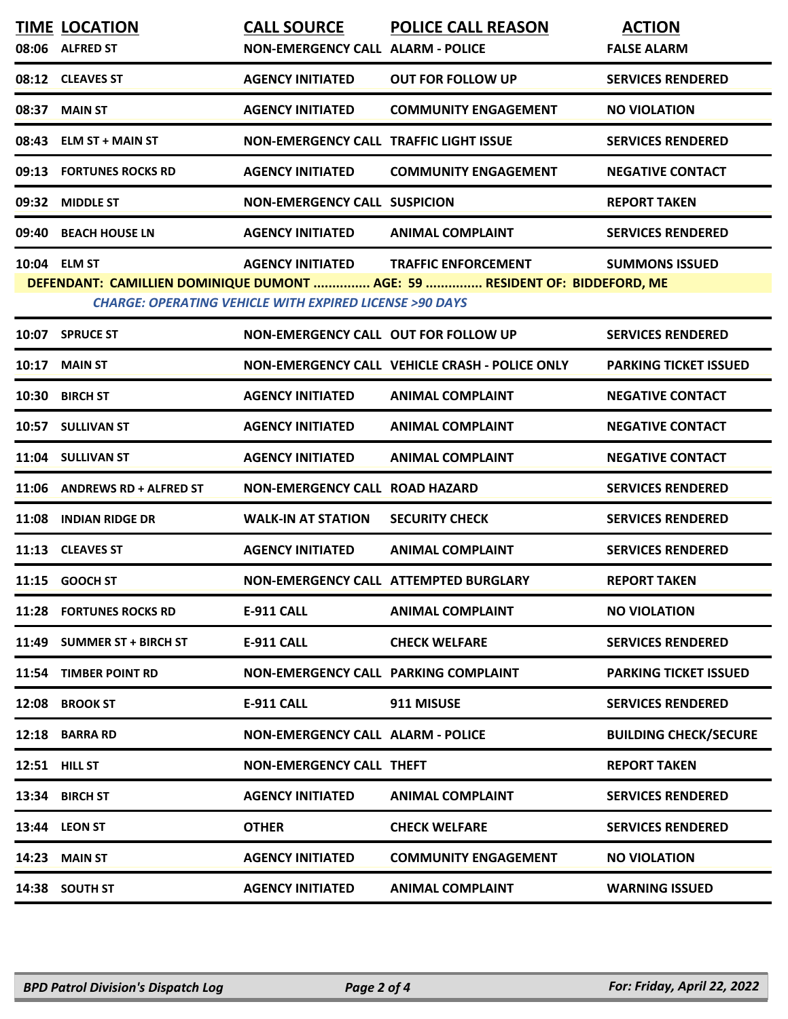|                                                                                                                                                                                                                                                   | <b>TIME LOCATION</b><br>08:06 ALFRED ST | <b>CALL SOURCE</b><br><b>NON-EMERGENCY CALL ALARM - POLICE</b> | <b>POLICE CALL REASON</b>                      | <b>ACTION</b><br><b>FALSE ALARM</b> |  |  |
|---------------------------------------------------------------------------------------------------------------------------------------------------------------------------------------------------------------------------------------------------|-----------------------------------------|----------------------------------------------------------------|------------------------------------------------|-------------------------------------|--|--|
|                                                                                                                                                                                                                                                   | 08:12 CLEAVES ST                        | <b>AGENCY INITIATED</b>                                        | <b>OUT FOR FOLLOW UP</b>                       | <b>SERVICES RENDERED</b>            |  |  |
| 08:37                                                                                                                                                                                                                                             | <b>MAIN ST</b>                          | <b>AGENCY INITIATED</b>                                        | <b>COMMUNITY ENGAGEMENT</b>                    | <b>NO VIOLATION</b>                 |  |  |
|                                                                                                                                                                                                                                                   | 08:43 ELM ST + MAIN ST                  | <b>NON-EMERGENCY CALL TRAFFIC LIGHT ISSUE</b>                  |                                                | <b>SERVICES RENDERED</b>            |  |  |
|                                                                                                                                                                                                                                                   | 09:13 FORTUNES ROCKS RD                 | <b>AGENCY INITIATED</b>                                        | <b>COMMUNITY ENGAGEMENT</b>                    | <b>NEGATIVE CONTACT</b>             |  |  |
| 09:32                                                                                                                                                                                                                                             | <b>MIDDLE ST</b>                        | <b>NON-EMERGENCY CALL SUSPICION</b>                            |                                                | <b>REPORT TAKEN</b>                 |  |  |
| 09:40                                                                                                                                                                                                                                             | <b>BEACH HOUSE LN</b>                   | <b>AGENCY INITIATED</b>                                        | <b>ANIMAL COMPLAINT</b>                        | <b>SERVICES RENDERED</b>            |  |  |
| 10:04 ELM ST<br><b>AGENCY INITIATED</b><br><b>TRAFFIC ENFORCEMENT</b><br><b>SUMMONS ISSUED</b><br>DEFENDANT: CAMILLIEN DOMINIQUE DUMONT  AGE: 59  RESIDENT OF: BIDDEFORD, ME<br><b>CHARGE: OPERATING VEHICLE WITH EXPIRED LICENSE &gt;90 DAYS</b> |                                         |                                                                |                                                |                                     |  |  |
|                                                                                                                                                                                                                                                   | 10:07 SPRUCE ST                         | <b>NON-EMERGENCY CALL OUT FOR FOLLOW UP</b>                    |                                                | <b>SERVICES RENDERED</b>            |  |  |
|                                                                                                                                                                                                                                                   | <b>10:17 MAIN ST</b>                    |                                                                | NON-EMERGENCY CALL VEHICLE CRASH - POLICE ONLY | <b>PARKING TICKET ISSUED</b>        |  |  |
|                                                                                                                                                                                                                                                   | 10:30 BIRCH ST                          | <b>AGENCY INITIATED</b>                                        | <b>ANIMAL COMPLAINT</b>                        | <b>NEGATIVE CONTACT</b>             |  |  |
|                                                                                                                                                                                                                                                   | 10:57 SULLIVAN ST                       | <b>AGENCY INITIATED</b>                                        | <b>ANIMAL COMPLAINT</b>                        | <b>NEGATIVE CONTACT</b>             |  |  |
|                                                                                                                                                                                                                                                   | 11:04 SULLIVAN ST                       | <b>AGENCY INITIATED</b>                                        | <b>ANIMAL COMPLAINT</b>                        | <b>NEGATIVE CONTACT</b>             |  |  |
|                                                                                                                                                                                                                                                   | 11:06 ANDREWS RD + ALFRED ST            | <b>NON-EMERGENCY CALL ROAD HAZARD</b>                          |                                                | <b>SERVICES RENDERED</b>            |  |  |
| 11:08                                                                                                                                                                                                                                             | <b>INDIAN RIDGE DR</b>                  | <b>WALK-IN AT STATION</b>                                      | <b>SECURITY CHECK</b>                          | <b>SERVICES RENDERED</b>            |  |  |
|                                                                                                                                                                                                                                                   | 11:13 CLEAVES ST                        | <b>AGENCY INITIATED</b>                                        | <b>ANIMAL COMPLAINT</b>                        | <b>SERVICES RENDERED</b>            |  |  |
|                                                                                                                                                                                                                                                   | 11:15 GOOCH ST                          |                                                                | <b>NON-EMERGENCY CALL ATTEMPTED BURGLARY</b>   | <b>REPORT TAKEN</b>                 |  |  |
|                                                                                                                                                                                                                                                   | 11:28 FORTUNES ROCKS RD                 | <b>E-911 CALL</b>                                              | ANIMAL COMPLAINT                               | <b>NO VIOLATION</b>                 |  |  |
| 11:49                                                                                                                                                                                                                                             | <b>SUMMER ST + BIRCH ST</b>             | <b>E-911 CALL</b>                                              | <b>CHECK WELFARE</b>                           | <b>SERVICES RENDERED</b>            |  |  |
| 11:54                                                                                                                                                                                                                                             | <b>TIMBER POINT RD</b>                  | NON-EMERGENCY CALL PARKING COMPLAINT                           |                                                | <b>PARKING TICKET ISSUED</b>        |  |  |
| 12:08                                                                                                                                                                                                                                             | <b>BROOK ST</b>                         | <b>E-911 CALL</b>                                              | 911 MISUSE                                     | <b>SERVICES RENDERED</b>            |  |  |
|                                                                                                                                                                                                                                                   | 12:18 BARRA RD                          | <b>NON-EMERGENCY CALL ALARM - POLICE</b>                       |                                                | <b>BUILDING CHECK/SECURE</b>        |  |  |
|                                                                                                                                                                                                                                                   | <b>12:51 HILL ST</b>                    | NON-EMERGENCY CALL THEFT                                       |                                                | <b>REPORT TAKEN</b>                 |  |  |
| 13:34                                                                                                                                                                                                                                             | <b>BIRCH ST</b>                         | <b>AGENCY INITIATED</b>                                        | <b>ANIMAL COMPLAINT</b>                        | <b>SERVICES RENDERED</b>            |  |  |
|                                                                                                                                                                                                                                                   | <b>13:44 LEON ST</b>                    | <b>OTHER</b>                                                   | <b>CHECK WELFARE</b>                           | <b>SERVICES RENDERED</b>            |  |  |
| 14:23                                                                                                                                                                                                                                             | <b>MAIN ST</b>                          | <b>AGENCY INITIATED</b>                                        | <b>COMMUNITY ENGAGEMENT</b>                    | <b>NO VIOLATION</b>                 |  |  |
|                                                                                                                                                                                                                                                   | 14:38 SOUTH ST                          | <b>AGENCY INITIATED</b>                                        | <b>ANIMAL COMPLAINT</b>                        | <b>WARNING ISSUED</b>               |  |  |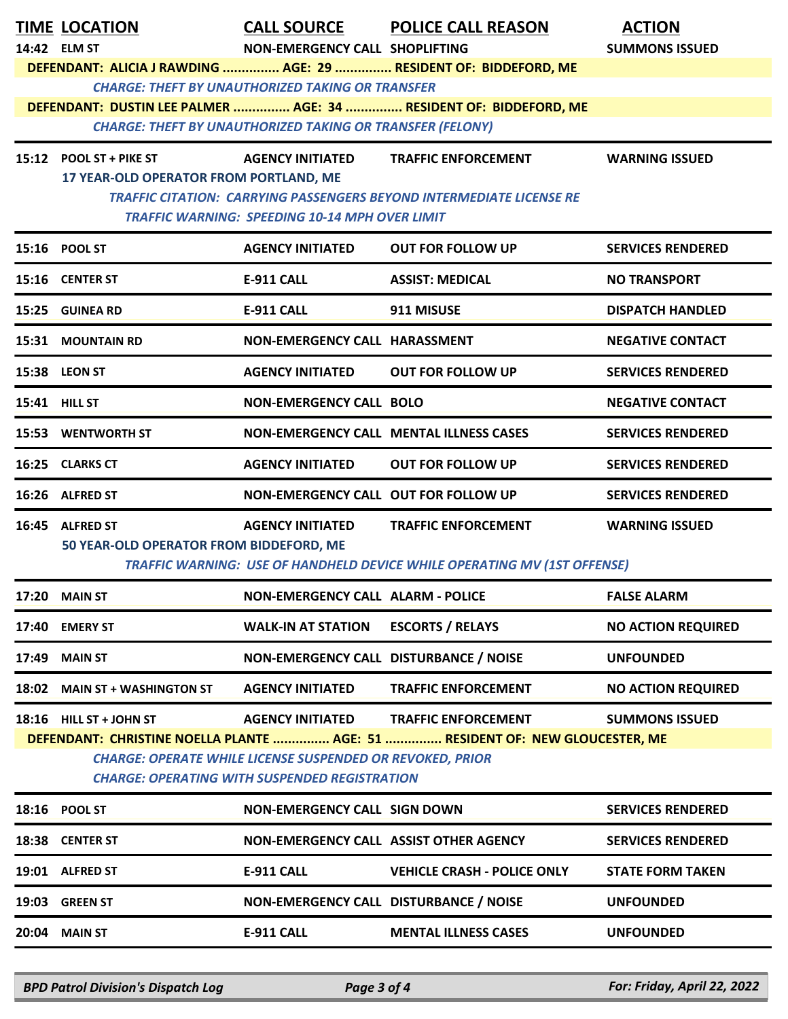|       | <b>TIME LOCATION</b>                    |                                                                  | CALL SOURCE POLICE CALL REASON                                                  | <b>ACTION</b>             |
|-------|-----------------------------------------|------------------------------------------------------------------|---------------------------------------------------------------------------------|---------------------------|
|       | 14:42 ELM ST                            | NON-EMERGENCY CALL SHOPLIFTING                                   |                                                                                 | <b>SUMMONS ISSUED</b>     |
|       |                                         |                                                                  | DEFENDANT: ALICIA J RAWDING  AGE: 29  RESIDENT OF: BIDDEFORD, ME                |                           |
|       |                                         | <b>CHARGE: THEFT BY UNAUTHORIZED TAKING OR TRANSFER</b>          | DEFENDANT: DUSTIN LEE PALMER  AGE: 34  RESIDENT OF: BIDDEFORD, ME               |                           |
|       |                                         | <b>CHARGE: THEFT BY UNAUTHORIZED TAKING OR TRANSFER (FELONY)</b> |                                                                                 |                           |
|       | 15:12 POOL ST + PIKE ST                 | <b>AGENCY INITIATED</b>                                          | <b>TRAFFIC ENFORCEMENT</b>                                                      | <b>WARNING ISSUED</b>     |
|       | 17 YEAR-OLD OPERATOR FROM PORTLAND, ME  |                                                                  |                                                                                 |                           |
|       |                                         | <b>TRAFFIC WARNING: SPEEDING 10-14 MPH OVER LIMIT</b>            | <b>TRAFFIC CITATION: CARRYING PASSENGERS BEYOND INTERMEDIATE LICENSE RE</b>     |                           |
|       | 15:16 POOL ST                           | <b>AGENCY INITIATED</b>                                          | <b>OUT FOR FOLLOW UP</b>                                                        | <b>SERVICES RENDERED</b>  |
|       | 15:16 CENTER ST                         | <b>E-911 CALL</b>                                                | <b>ASSIST: MEDICAL</b>                                                          | <b>NO TRANSPORT</b>       |
|       | 15:25 GUINEA RD                         | <b>E-911 CALL</b>                                                | 911 MISUSE                                                                      | <b>DISPATCH HANDLED</b>   |
|       | 15:31 MOUNTAIN RD                       | NON-EMERGENCY CALL HARASSMENT                                    |                                                                                 | <b>NEGATIVE CONTACT</b>   |
|       | 15:38 LEON ST                           | <b>AGENCY INITIATED</b>                                          | <b>OUT FOR FOLLOW UP</b>                                                        | <b>SERVICES RENDERED</b>  |
|       | <b>15:41 HILL ST</b>                    | <b>NON-EMERGENCY CALL BOLO</b>                                   |                                                                                 | <b>NEGATIVE CONTACT</b>   |
|       | 15:53 WENTWORTH ST                      |                                                                  | <b>NON-EMERGENCY CALL MENTAL ILLNESS CASES</b>                                  | <b>SERVICES RENDERED</b>  |
|       | 16:25 CLARKS CT                         | <b>AGENCY INITIATED</b>                                          | <b>OUT FOR FOLLOW UP</b>                                                        | <b>SERVICES RENDERED</b>  |
|       | 16:26 ALFRED ST                         | NON-EMERGENCY CALL OUT FOR FOLLOW UP                             |                                                                                 | <b>SERVICES RENDERED</b>  |
|       | 16:45 ALFRED ST                         | <b>AGENCY INITIATED</b>                                          | <b>TRAFFIC ENFORCEMENT</b>                                                      | <b>WARNING ISSUED</b>     |
|       | 50 YEAR-OLD OPERATOR FROM BIDDEFORD, ME |                                                                  | <b>TRAFFIC WARNING: USE OF HANDHELD DEVICE WHILE OPERATING MV (1ST OFFENSE)</b> |                           |
|       | 17:20 MAIN ST                           | NON-EMERGENCY CALL ALARM - POLICE                                |                                                                                 | <b>FALSE ALARM</b>        |
|       | 17:40 EMERY ST                          | <b>WALK-IN AT STATION</b>                                        | <b>ESCORTS / RELAYS</b>                                                         | <b>NO ACTION REQUIRED</b> |
| 17:49 | <b>MAIN ST</b>                          | NON-EMERGENCY CALL DISTURBANCE / NOISE                           |                                                                                 | <b>UNFOUNDED</b>          |
| 18:02 | <b>MAIN ST + WASHINGTON ST</b>          | <b>AGENCY INITIATED</b>                                          | <b>TRAFFIC ENFORCEMENT</b>                                                      | <b>NO ACTION REQUIRED</b> |
|       | 18:16 HILL ST + JOHN ST                 | <b>AGENCY INITIATED</b>                                          | <b>TRAFFIC ENFORCEMENT</b>                                                      | <b>SUMMONS ISSUED</b>     |
|       |                                         | <b>CHARGE: OPERATE WHILE LICENSE SUSPENDED OR REVOKED, PRIOR</b> | DEFENDANT: CHRISTINE NOELLA PLANTE  AGE: 51  RESIDENT OF: NEW GLOUCESTER, ME    |                           |
|       |                                         | <b>CHARGE: OPERATING WITH SUSPENDED REGISTRATION</b>             |                                                                                 |                           |
|       | 18:16 POOL ST                           | <b>NON-EMERGENCY CALL SIGN DOWN</b>                              |                                                                                 | <b>SERVICES RENDERED</b>  |
|       | 18:38 CENTER ST                         | NON-EMERGENCY CALL ASSIST OTHER AGENCY                           |                                                                                 | <b>SERVICES RENDERED</b>  |
|       | 19:01 ALFRED ST                         | <b>E-911 CALL</b>                                                | <b>VEHICLE CRASH - POLICE ONLY</b>                                              | <b>STATE FORM TAKEN</b>   |
|       | 19:03 GREEN ST                          | NON-EMERGENCY CALL DISTURBANCE / NOISE                           |                                                                                 | <b>UNFOUNDED</b>          |
|       | 20:04 MAIN ST                           | <b>E-911 CALL</b>                                                | <b>MENTAL ILLNESS CASES</b>                                                     | <b>UNFOUNDED</b>          |